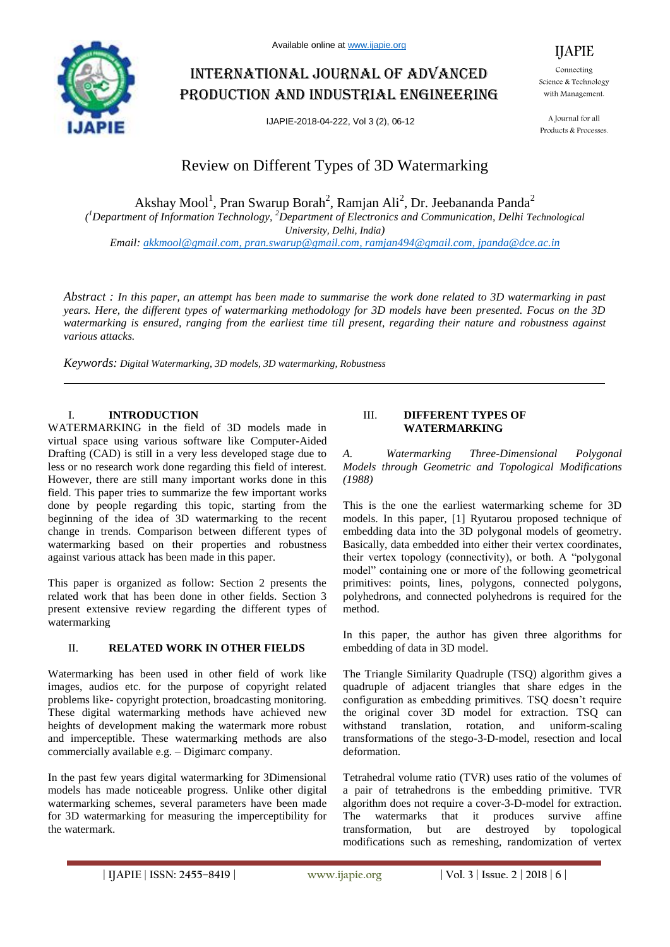

# International journal of advanced production and industrial engineering

IJAPIE-2018-04-222, Vol 3 (2), 06-12



IJAPIE

A Journal for all Products & Processes.

# Review on Different Types of 3D Watermarking

Akshay Mool<sup>1</sup>, Pran Swarup Borah<sup>2</sup>, Ramjan Ali<sup>2</sup>, Dr. Jeebananda Panda<sup>2</sup>

*( <sup>1</sup>Department of Information Technology, <sup>2</sup>Department of Electronics and Communication, Delhi Technological University, Delhi, India)*

*Email: akkmool@gmail.com, pran.swarup@gmail.com, ramjan494@gmail.com, jpanda@dce.ac.in*

*Abstract : In this paper, an attempt has been made to summarise the work done related to 3D watermarking in past years. Here, the different types of watermarking methodology for 3D models have been presented. Focus on the 3D watermarking is ensured, ranging from the earliest time till present, regarding their nature and robustness against various attacks.*

*Keywords: Digital Watermarking, 3D models, 3D watermarking, Robustness*

## I. **INTRODUCTION**

WATERMARKING in the field of 3D models made in virtual space using various software like Computer-Aided Drafting (CAD) is still in a very less developed stage due to less or no research work done regarding this field of interest. However, there are still many important works done in this field. This paper tries to summarize the few important works done by people regarding this topic, starting from the beginning of the idea of 3D watermarking to the recent change in trends. Comparison between different types of watermarking based on their properties and robustness against various attack has been made in this paper.

This paper is organized as follow: Section 2 presents the related work that has been done in other fields. Section 3 present extensive review regarding the different types of watermarking

### II. **RELATED WORK IN OTHER FIELDS**

Watermarking has been used in other field of work like images, audios etc. for the purpose of copyright related problems like- copyright protection, broadcasting monitoring. These digital watermarking methods have achieved new heights of development making the watermark more robust and imperceptible. These watermarking methods are also commercially available e.g. – Digimarc company.

In the past few years digital watermarking for 3Dimensional models has made noticeable progress. Unlike other digital watermarking schemes, several parameters have been made for 3D watermarking for measuring the imperceptibility for the watermark.

#### III. **DIFFERENT TYPES OF WATERMARKING**

*A. Watermarking Three-Dimensional Polygonal Models through Geometric and Topological Modifications (1988)*

This is the one the earliest watermarking scheme for 3D models. In this paper, [1] Ryutarou proposed technique of embedding data into the 3D polygonal models of geometry. Basically, data embedded into either their vertex coordinates, their vertex topology (connectivity), or both. A "polygonal model" containing one or more of the following geometrical primitives: points, lines, polygons, connected polygons, polyhedrons, and connected polyhedrons is required for the method.

In this paper, the author has given three algorithms for embedding of data in 3D model.

The Triangle Similarity Quadruple (TSQ) algorithm gives a quadruple of adjacent triangles that share edges in the configuration as embedding primitives. TSQ doesn't require the original cover 3D model for extraction. TSQ can withstand translation, rotation, and uniform-scaling transformations of the stego-3-D-model, resection and local deformation.

Tetrahedral volume ratio (TVR) uses ratio of the volumes of a pair of tetrahedrons is the embedding primitive. TVR algorithm does not require a cover-3-D-model for extraction. The watermarks that it produces survive affine transformation, but are destroyed by topological modifications such as remeshing, randomization of vertex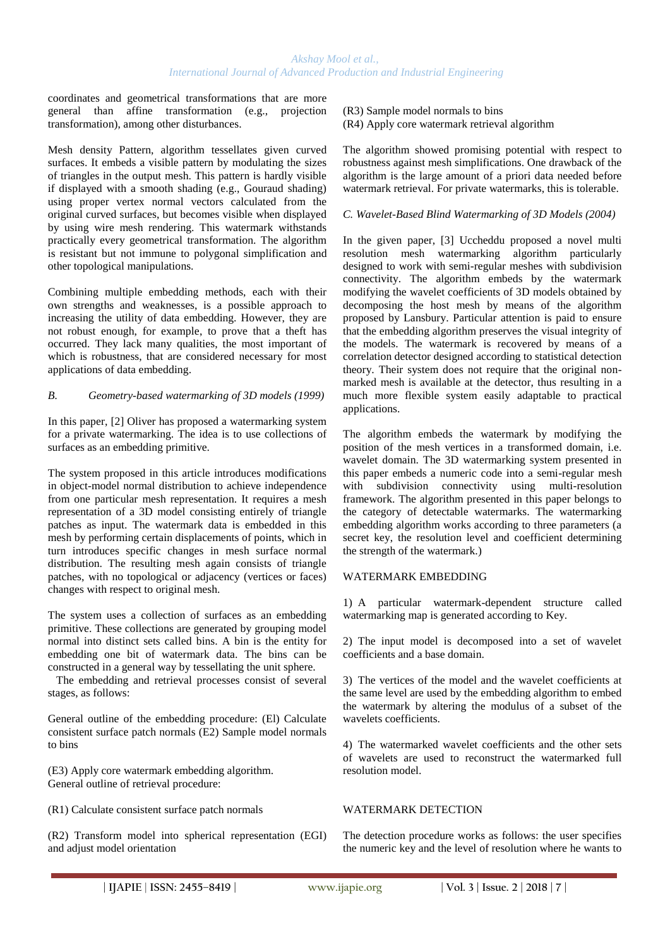coordinates and geometrical transformations that are more general than affine transformation (e.g., projection transformation), among other disturbances.

Mesh density Pattern, algorithm tessellates given curved surfaces. It embeds a visible pattern by modulating the sizes of triangles in the output mesh. This pattern is hardly visible if displayed with a smooth shading (e.g., Gouraud shading) using proper vertex normal vectors calculated from the original curved surfaces, but becomes visible when displayed by using wire mesh rendering. This watermark withstands practically every geometrical transformation. The algorithm is resistant but not immune to polygonal simplification and other topological manipulations.

Combining multiple embedding methods, each with their own strengths and weaknesses, is a possible approach to increasing the utility of data embedding. However, they are not robust enough, for example, to prove that a theft has occurred. They lack many qualities, the most important of which is robustness, that are considered necessary for most applications of data embedding.

#### *B. Geometry-based watermarking of 3D models (1999)*

In this paper, [2] Oliver has proposed a watermarking system for a private watermarking. The idea is to use collections of surfaces as an embedding primitive.

The system proposed in this article introduces modifications in object-model normal distribution to achieve independence from one particular mesh representation. It requires a mesh representation of a 3D model consisting entirely of triangle patches as input. The watermark data is embedded in this mesh by performing certain displacements of points, which in turn introduces specific changes in mesh surface normal distribution. The resulting mesh again consists of triangle patches, with no topological or adjacency (vertices or faces) changes with respect to original mesh.

The system uses a collection of surfaces as an embedding primitive. These collections are generated by grouping model normal into distinct sets called bins. A bin is the entity for embedding one bit of watermark data. The bins can be constructed in a general way by tessellating the unit sphere.

 The embedding and retrieval processes consist of several stages, as follows:

General outline of the embedding procedure: (El) Calculate consistent surface patch normals (E2) Sample model normals to bins

(E3) Apply core watermark embedding algorithm. General outline of retrieval procedure:

(R1) Calculate consistent surface patch normals

(R2) Transform model into spherical representation (EGI) and adjust model orientation

#### (R3) Sample model normals to bins (R4) Apply core watermark retrieval algorithm

The algorithm showed promising potential with respect to robustness against mesh simplifications. One drawback of the algorithm is the large amount of a priori data needed before watermark retrieval. For private watermarks, this is tolerable.

#### *C. Wavelet-Based Blind Watermarking of 3D Models (2004)*

In the given paper, [3] Uccheddu proposed a novel multi resolution mesh watermarking algorithm particularly designed to work with semi-regular meshes with subdivision connectivity. The algorithm embeds by the watermark modifying the wavelet coefficients of 3D models obtained by decomposing the host mesh by means of the algorithm proposed by Lansbury. Particular attention is paid to ensure that the embedding algorithm preserves the visual integrity of the models. The watermark is recovered by means of a correlation detector designed according to statistical detection theory. Their system does not require that the original nonmarked mesh is available at the detector, thus resulting in a much more flexible system easily adaptable to practical applications.

The algorithm embeds the watermark by modifying the position of the mesh vertices in a transformed domain, i.e. wavelet domain. The 3D watermarking system presented in this paper embeds a numeric code into a semi-regular mesh with subdivision connectivity using multi-resolution framework. The algorithm presented in this paper belongs to the category of detectable watermarks. The watermarking embedding algorithm works according to three parameters (a secret key, the resolution level and coefficient determining the strength of the watermark.)

#### WATERMARK EMBEDDING

1) A particular watermark-dependent structure called watermarking map is generated according to Key.

2) The input model is decomposed into a set of wavelet coefficients and a base domain.

3) The vertices of the model and the wavelet coefficients at the same level are used by the embedding algorithm to embed the watermark by altering the modulus of a subset of the wavelets coefficients.

4) The watermarked wavelet coefficients and the other sets of wavelets are used to reconstruct the watermarked full resolution model.

#### WATERMARK DETECTION

The detection procedure works as follows: the user specifies the numeric key and the level of resolution where he wants to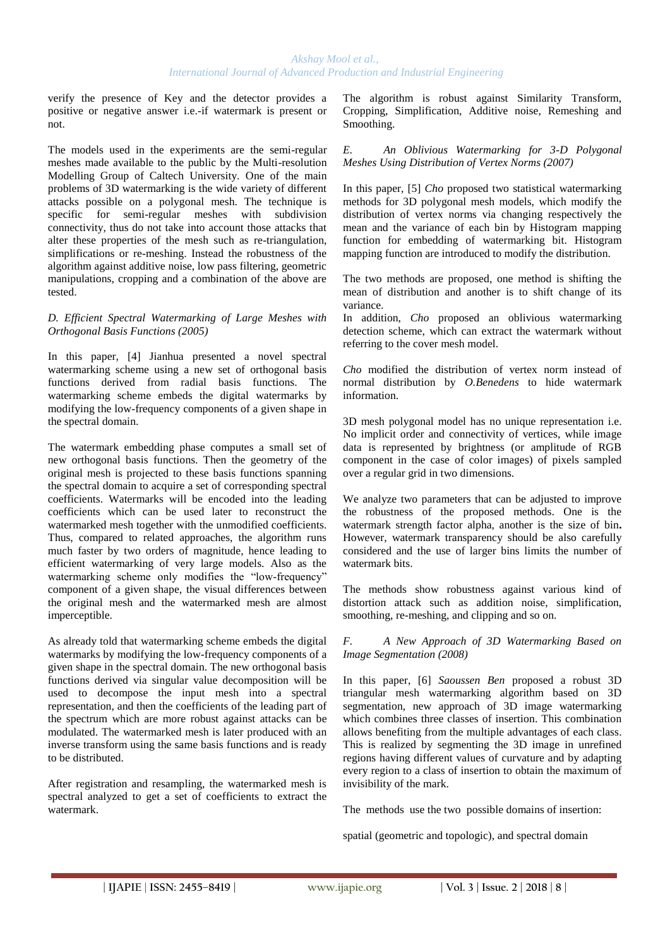verify the presence of Key and the detector provides a positive or negative answer i.e.-if watermark is present or not.

The models used in the experiments are the semi-regular meshes made available to the public by the Multi-resolution Modelling Group of Caltech University. One of the main problems of 3D watermarking is the wide variety of different attacks possible on a polygonal mesh. The technique is specific for semi-regular meshes with subdivision connectivity, thus do not take into account those attacks that alter these properties of the mesh such as re-triangulation, simplifications or re-meshing. Instead the robustness of the algorithm against additive noise, low pass filtering, geometric manipulations, cropping and a combination of the above are tested.

#### *D. Efficient Spectral Watermarking of Large Meshes with Orthogonal Basis Functions (2005)*

In this paper, [4] Jianhua presented a novel spectral watermarking scheme using a new set of orthogonal basis functions derived from radial basis functions. The watermarking scheme embeds the digital watermarks by modifying the low-frequency components of a given shape in the spectral domain.

The watermark embedding phase computes a small set of new orthogonal basis functions. Then the geometry of the original mesh is projected to these basis functions spanning the spectral domain to acquire a set of corresponding spectral coefficients. Watermarks will be encoded into the leading coefficients which can be used later to reconstruct the watermarked mesh together with the unmodified coefficients. Thus, compared to related approaches, the algorithm runs much faster by two orders of magnitude, hence leading to efficient watermarking of very large models. Also as the watermarking scheme only modifies the "low-frequency" component of a given shape, the visual differences between the original mesh and the watermarked mesh are almost imperceptible.

As already told that watermarking scheme embeds the digital watermarks by modifying the low-frequency components of a given shape in the spectral domain. The new orthogonal basis functions derived via singular value decomposition will be used to decompose the input mesh into a spectral representation, and then the coefficients of the leading part of the spectrum which are more robust against attacks can be modulated. The watermarked mesh is later produced with an inverse transform using the same basis functions and is ready to be distributed.

After registration and resampling, the watermarked mesh is spectral analyzed to get a set of coefficients to extract the watermark.

The algorithm is robust against Similarity Transform, Cropping, Simplification, Additive noise, Remeshing and Smoothing.

*E. An Oblivious Watermarking for 3-D Polygonal Meshes Using Distribution of Vertex Norms (2007)*

In this paper, [5] *Cho* proposed two statistical watermarking methods for 3D polygonal mesh models, which modify the distribution of vertex norms via changing respectively the mean and the variance of each bin by Histogram mapping function for embedding of watermarking bit. Histogram mapping function are introduced to modify the distribution.

The two methods are proposed, one method is shifting the mean of distribution and another is to shift change of its variance.

In addition, *Cho* proposed an oblivious watermarking detection scheme, which can extract the watermark without referring to the cover mesh model.

*Cho* modified the distribution of vertex norm instead of normal distribution by *O.Benedens* to hide watermark information.

3D mesh polygonal model has no unique representation i.e. No implicit order and connectivity of vertices, while image data is represented by brightness (or amplitude of RGB component in the case of color images) of pixels sampled over a regular grid in two dimensions.

We analyze two parameters that can be adjusted to improve the robustness of the proposed methods. One is the watermark strength factor alpha, another is the size of bin**.** However, watermark transparency should be also carefully considered and the use of larger bins limits the number of watermark bits.

The methods show robustness against various kind of distortion attack such as addition noise, simplification, smoothing, re-meshing, and clipping and so on.

#### *F. A New Approach of 3D Watermarking Based on Image Segmentation (2008)*

In this paper, [6] *Saoussen Ben* proposed a robust 3D triangular mesh watermarking algorithm based on 3D segmentation, new approach of 3D image watermarking which combines three classes of insertion. This combination allows benefiting from the multiple advantages of each class. This is realized by segmenting the 3D image in unrefined regions having different values of curvature and by adapting every region to a class of insertion to obtain the maximum of invisibility of the mark.

The methods use the two possible domains of insertion:

spatial (geometric and topologic), and spectral domain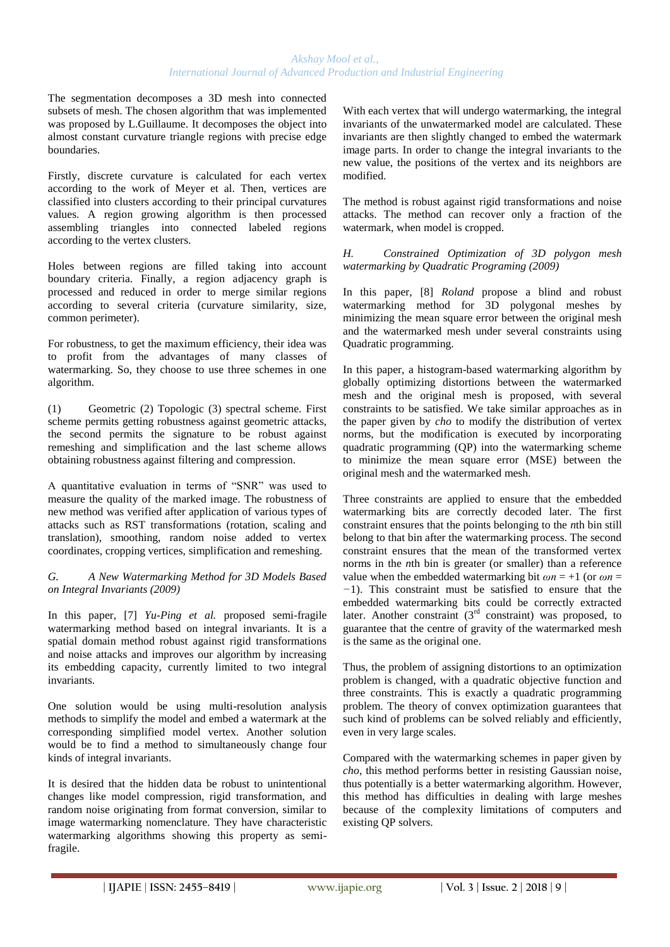The segmentation decomposes a 3D mesh into connected subsets of mesh. The chosen algorithm that was implemented was proposed by L.Guillaume. It decomposes the object into almost constant curvature triangle regions with precise edge boundaries.

Firstly, discrete curvature is calculated for each vertex according to the work of Meyer et al. Then, vertices are classified into clusters according to their principal curvatures values. A region growing algorithm is then processed assembling triangles into connected labeled regions according to the vertex clusters.

Holes between regions are filled taking into account boundary criteria. Finally, a region adjacency graph is processed and reduced in order to merge similar regions according to several criteria (curvature similarity, size, common perimeter).

For robustness, to get the maximum efficiency, their idea was to profit from the advantages of many classes of watermarking. So, they choose to use three schemes in one algorithm.

(1) Geometric (2) Topologic (3) spectral scheme. First scheme permits getting robustness against geometric attacks, the second permits the signature to be robust against remeshing and simplification and the last scheme allows obtaining robustness against filtering and compression.

A quantitative evaluation in terms of "SNR" was used to measure the quality of the marked image. The robustness of new method was verified after application of various types of attacks such as RST transformations (rotation, scaling and translation), smoothing, random noise added to vertex coordinates, cropping vertices, simplification and remeshing.

*G. A New Watermarking Method for 3D Models Based on Integral Invariants (2009)*

In this paper, [7] *Yu-Ping et al.* proposed semi-fragile watermarking method based on integral invariants. It is a spatial domain method robust against rigid transformations and noise attacks and improves our algorithm by increasing its embedding capacity, currently limited to two integral invariants.

One solution would be using multi-resolution analysis methods to simplify the model and embed a watermark at the corresponding simplified model vertex. Another solution would be to find a method to simultaneously change four kinds of integral invariants.

It is desired that the hidden data be robust to unintentional changes like model compression, rigid transformation, and random noise originating from format conversion, similar to image watermarking nomenclature. They have characteristic watermarking algorithms showing this property as semifragile.

With each vertex that will undergo watermarking, the integral invariants of the unwatermarked model are calculated. These invariants are then slightly changed to embed the watermark image parts. In order to change the integral invariants to the new value, the positions of the vertex and its neighbors are modified.

The method is robust against rigid transformations and noise attacks. The method can recover only a fraction of the watermark, when model is cropped.

*H. Constrained Optimization of 3D polygon mesh watermarking by Quadratic Programing (2009)*

In this paper, [8] *Roland* propose a blind and robust watermarking method for 3D polygonal meshes by minimizing the mean square error between the original mesh and the watermarked mesh under several constraints using Quadratic programming.

In this paper, a histogram-based watermarking algorithm by globally optimizing distortions between the watermarked mesh and the original mesh is proposed, with several constraints to be satisfied. We take similar approaches as in the paper given by *cho* to modify the distribution of vertex norms, but the modification is executed by incorporating quadratic programming (QP) into the watermarking scheme to minimize the mean square error (MSE) between the original mesh and the watermarked mesh.

Three constraints are applied to ensure that the embedded watermarking bits are correctly decoded later. The first constraint ensures that the points belonging to the *n*th bin still belong to that bin after the watermarking process. The second constraint ensures that the mean of the transformed vertex norms in the *n*th bin is greater (or smaller) than a reference value when the embedded watermarking bit  $\omega n = +1$  (or  $\omega n =$ *−*1). This constraint must be satisfied to ensure that the embedded watermarking bits could be correctly extracted later. Another constraint  $(3^{rd}$  constraint) was proposed, to guarantee that the centre of gravity of the watermarked mesh is the same as the original one.

Thus, the problem of assigning distortions to an optimization problem is changed, with a quadratic objective function and three constraints. This is exactly a quadratic programming problem. The theory of convex optimization guarantees that such kind of problems can be solved reliably and efficiently, even in very large scales.

Compared with the watermarking schemes in paper given by *cho*, this method performs better in resisting Gaussian noise, thus potentially is a better watermarking algorithm. However, this method has difficulties in dealing with large meshes because of the complexity limitations of computers and existing QP solvers.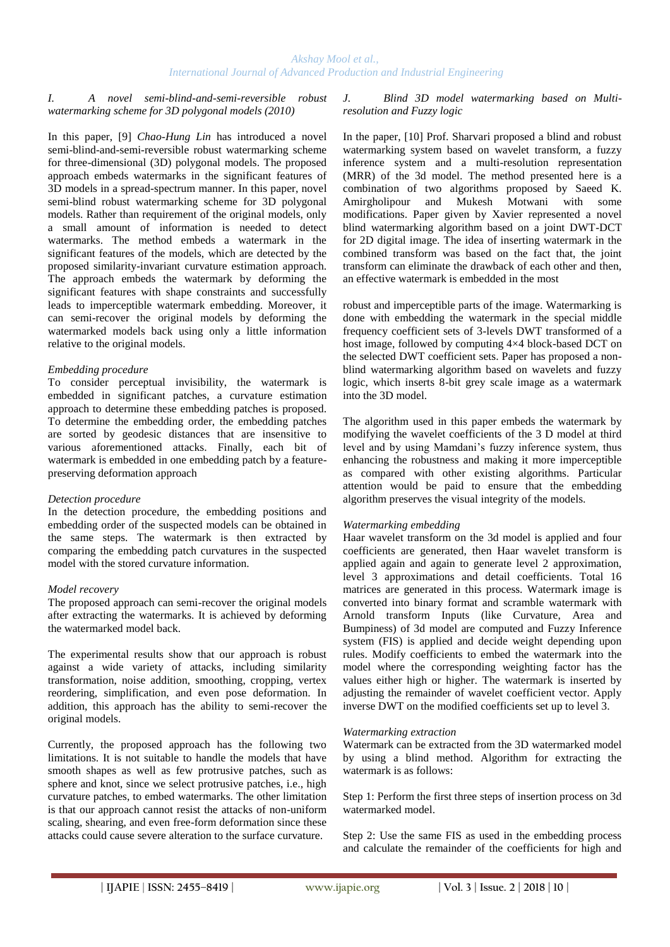#### *I. A novel semi-blind-and-semi-reversible robust watermarking scheme for 3D polygonal models (2010)*

In this paper, [9] *Chao-Hung Lin* has introduced a novel semi-blind-and-semi-reversible robust watermarking scheme for three-dimensional (3D) polygonal models. The proposed approach embeds watermarks in the significant features of 3D models in a spread-spectrum manner. In this paper, novel semi-blind robust watermarking scheme for 3D polygonal models. Rather than requirement of the original models, only a small amount of information is needed to detect watermarks. The method embeds a watermark in the significant features of the models, which are detected by the proposed similarity-invariant curvature estimation approach. The approach embeds the watermark by deforming the significant features with shape constraints and successfully leads to imperceptible watermark embedding. Moreover, it can semi-recover the original models by deforming the watermarked models back using only a little information relative to the original models.

#### *Embedding procedure*

To consider perceptual invisibility, the watermark is embedded in significant patches, a curvature estimation approach to determine these embedding patches is proposed. To determine the embedding order, the embedding patches are sorted by geodesic distances that are insensitive to various aforementioned attacks. Finally, each bit of watermark is embedded in one embedding patch by a featurepreserving deformation approach

#### *Detection procedure*

In the detection procedure, the embedding positions and embedding order of the suspected models can be obtained in the same steps. The watermark is then extracted by comparing the embedding patch curvatures in the suspected model with the stored curvature information.

#### *Model recovery*

The proposed approach can semi-recover the original models after extracting the watermarks. It is achieved by deforming the watermarked model back.

The experimental results show that our approach is robust against a wide variety of attacks, including similarity transformation, noise addition, smoothing, cropping, vertex reordering, simplification, and even pose deformation. In addition, this approach has the ability to semi-recover the original models.

Currently, the proposed approach has the following two limitations. It is not suitable to handle the models that have smooth shapes as well as few protrusive patches, such as sphere and knot, since we select protrusive patches, i.e., high curvature patches, to embed watermarks. The other limitation is that our approach cannot resist the attacks of non-uniform scaling, shearing, and even free-form deformation since these attacks could cause severe alteration to the surface curvature.

*J. Blind 3D model watermarking based on Multiresolution and Fuzzy logic*

In the paper, [10] Prof. Sharvari proposed a blind and robust watermarking system based on wavelet transform, a fuzzy inference system and a multi-resolution representation (MRR) of the 3d model. The method presented here is a combination of two algorithms proposed by Saeed K. Amirgholipour and Mukesh Motwani with some modifications. Paper given by Xavier represented a novel blind watermarking algorithm based on a joint DWT-DCT for 2D digital image. The idea of inserting watermark in the combined transform was based on the fact that, the joint transform can eliminate the drawback of each other and then, an effective watermark is embedded in the most

robust and imperceptible parts of the image. Watermarking is done with embedding the watermark in the special middle frequency coefficient sets of 3-levels DWT transformed of a host image, followed by computing 4×4 block-based DCT on the selected DWT coefficient sets. Paper has proposed a nonblind watermarking algorithm based on wavelets and fuzzy logic, which inserts 8-bit grey scale image as a watermark into the 3D model.

The algorithm used in this paper embeds the watermark by modifying the wavelet coefficients of the 3 D model at third level and by using Mamdani's fuzzy inference system, thus enhancing the robustness and making it more imperceptible as compared with other existing algorithms. Particular attention would be paid to ensure that the embedding algorithm preserves the visual integrity of the models.

#### *Watermarking embedding*

Haar wavelet transform on the 3d model is applied and four coefficients are generated, then Haar wavelet transform is applied again and again to generate level 2 approximation, level 3 approximations and detail coefficients. Total 16 matrices are generated in this process. Watermark image is converted into binary format and scramble watermark with Arnold transform Inputs (like Curvature, Area and Bumpiness) of 3d model are computed and Fuzzy Inference system (FIS) is applied and decide weight depending upon rules. Modify coefficients to embed the watermark into the model where the corresponding weighting factor has the values either high or higher. The watermark is inserted by adjusting the remainder of wavelet coefficient vector. Apply inverse DWT on the modified coefficients set up to level 3.

#### *Watermarking extraction*

Watermark can be extracted from the 3D watermarked model by using a blind method. Algorithm for extracting the watermark is as follows:

Step 1: Perform the first three steps of insertion process on 3d watermarked model.

Step 2: Use the same FIS as used in the embedding process and calculate the remainder of the coefficients for high and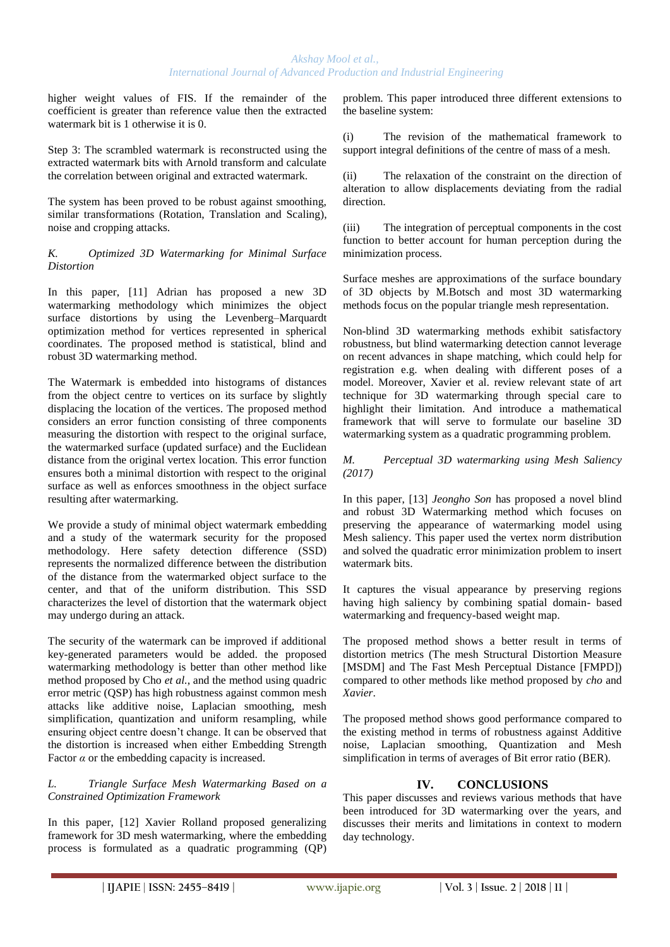higher weight values of FIS. If the remainder of the coefficient is greater than reference value then the extracted watermark bit is 1 otherwise it is 0.

Step 3: The scrambled watermark is reconstructed using the extracted watermark bits with Arnold transform and calculate the correlation between original and extracted watermark.

The system has been proved to be robust against smoothing, similar transformations (Rotation, Translation and Scaling), noise and cropping attacks.

*K. Optimized 3D Watermarking for Minimal Surface Distortion*

In this paper, [11] Adrian has proposed a new 3D watermarking methodology which minimizes the object surface distortions by using the Levenberg–Marquardt optimization method for vertices represented in spherical coordinates. The proposed method is statistical, blind and robust 3D watermarking method.

The Watermark is embedded into histograms of distances from the object centre to vertices on its surface by slightly displacing the location of the vertices. The proposed method considers an error function consisting of three components measuring the distortion with respect to the original surface, the watermarked surface (updated surface) and the Euclidean distance from the original vertex location. This error function ensures both a minimal distortion with respect to the original surface as well as enforces smoothness in the object surface resulting after watermarking.

We provide a study of minimal object watermark embedding and a study of the watermark security for the proposed methodology. Here safety detection difference (SSD) represents the normalized difference between the distribution of the distance from the watermarked object surface to the center, and that of the uniform distribution. This SSD characterizes the level of distortion that the watermark object may undergo during an attack.

The security of the watermark can be improved if additional key-generated parameters would be added. the proposed watermarking methodology is better than other method like method proposed by Cho *et al.*, and the method using quadric error metric (QSP) has high robustness against common mesh attacks like additive noise, Laplacian smoothing, mesh simplification, quantization and uniform resampling, while ensuring object centre doesn't change. It can be observed that the distortion is increased when either Embedding Strength Factor  $\alpha$  or the embedding capacity is increased.

*L. Triangle Surface Mesh Watermarking Based on a Constrained Optimization Framework*

In this paper, [12] Xavier Rolland proposed generalizing framework for 3D mesh watermarking, where the embedding process is formulated as a quadratic programming (QP) problem. This paper introduced three different extensions to the baseline system:

(i) The revision of the mathematical framework to support integral definitions of the centre of mass of a mesh.

(ii) The relaxation of the constraint on the direction of alteration to allow displacements deviating from the radial direction.

(iii) The integration of perceptual components in the cost function to better account for human perception during the minimization process.

Surface meshes are approximations of the surface boundary of 3D objects by M.Botsch and most 3D watermarking methods focus on the popular triangle mesh representation.

Non-blind 3D watermarking methods exhibit satisfactory robustness, but blind watermarking detection cannot leverage on recent advances in shape matching, which could help for registration e.g. when dealing with different poses of a model. Moreover, Xavier et al. review relevant state of art technique for 3D watermarking through special care to highlight their limitation. And introduce a mathematical framework that will serve to formulate our baseline 3D watermarking system as a quadratic programming problem.

*M. Perceptual 3D watermarking using Mesh Saliency (2017)*

In this paper, [13] *Jeongho Son* has proposed a novel blind and robust 3D Watermarking method which focuses on preserving the appearance of watermarking model using Mesh saliency. This paper used the vertex norm distribution and solved the quadratic error minimization problem to insert watermark bits.

It captures the visual appearance by preserving regions having high saliency by combining spatial domain- based watermarking and frequency-based weight map.

The proposed method shows a better result in terms of distortion metrics (The mesh Structural Distortion Measure [MSDM] and The Fast Mesh Perceptual Distance [FMPD]) compared to other methods like method proposed by *cho* and *Xavier*.

The proposed method shows good performance compared to the existing method in terms of robustness against Additive noise, Laplacian smoothing, Quantization and Mesh simplification in terms of averages of Bit error ratio (BER).

## **IV. CONCLUSIONS**

This paper discusses and reviews various methods that have been introduced for 3D watermarking over the years, and discusses their merits and limitations in context to modern day technology.